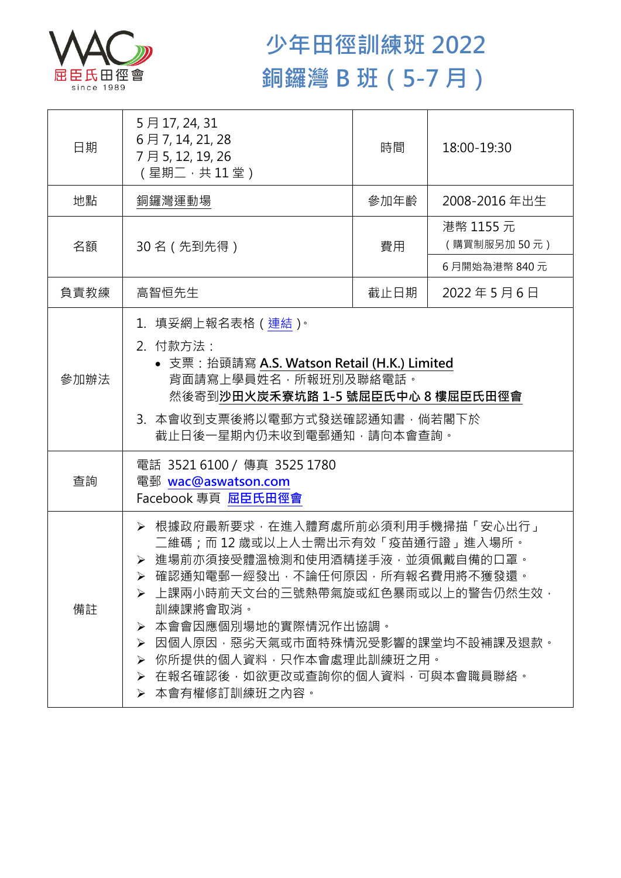

## **少年田徑訓練班 2022 銅鑼灣 B 班(5-7 月)**

| 日期   | 5月17, 24, 31<br>6月7, 14, 21, 28<br>7月5,12,19,26<br>(星期二,共11堂)                                                                                                                                                                                                                                                                                                    | 時間   | 18:00-19:30              |  |
|------|------------------------------------------------------------------------------------------------------------------------------------------------------------------------------------------------------------------------------------------------------------------------------------------------------------------------------------------------------------------|------|--------------------------|--|
| 地點   | 銅鑼灣運動場                                                                                                                                                                                                                                                                                                                                                           | 參加年齡 | 2008-2016年出生             |  |
| 名額   | 30名 (先到先得)                                                                                                                                                                                                                                                                                                                                                       | 費用   | 港幣 1155 元<br>(購買制服另加50元) |  |
|      |                                                                                                                                                                                                                                                                                                                                                                  |      | 6月開始為港幣 840元             |  |
| 負責教練 | 高智恒先生                                                                                                                                                                                                                                                                                                                                                            | 截止日期 | 2022年5月6日                |  |
| 參加辦法 | 1. 填妥網上報名表格 (連結)。<br>2. 付款方法:<br>• 支票: 抬頭請寫 A.S. Watson Retail (H.K.) Limited<br>背面請寫上學員姓名,所報班別及聯絡電話。<br>然後寄到沙田火炭禾寮坑路 1-5 號屈臣氏中心 8 樓屈臣氏田徑會<br>3. 本會收到支票後將以電郵方式發送確認通知書,倘若閣下於<br>截止日後一星期內仍未收到電郵通知,請向本會查詢。                                                                                                                                                          |      |                          |  |
| 查詢   | 電話 35216100 / 傳真 3525 1780<br>電郵 wac@aswatson.com<br>Facebook 專頁 屈臣氏田徑會                                                                                                                                                                                                                                                                                          |      |                          |  |
| 備註   | ▶ 根據政府最新要求 · 在進入體育處所前必須利用手機掃描「安心出行」<br>二維碼;而 12 歲或以上人士需出示有效「疫苗通行證」進入場所。<br>▶ 進場前亦須接受體溫檢測和使用酒精搓手液·並須佩戴自備的口罩。<br>▶ 確認通知電郵一經發出,不論任何原因,所有報名費用將不獲發還。<br>➢ 上課兩小時前天文台的三號熱帶氣旋或紅色暴雨或以上的警告仍然生效•<br>訓練課將會取消。<br>本會會因應個別場地的實際情況作出協調。<br>➤<br>因個人原因,惡劣天氣或市面特殊情況受影響的課堂均不設補課及退款。<br>➤<br>你所提供的個人資料,只作本會處理此訓練班之用。<br>➤<br>在報名確認後,如欲更改或查詢你的個人資料,可與本會職員聯絡。<br>➤<br>▶ 本會有權修訂訓練班之內容。 |      |                          |  |